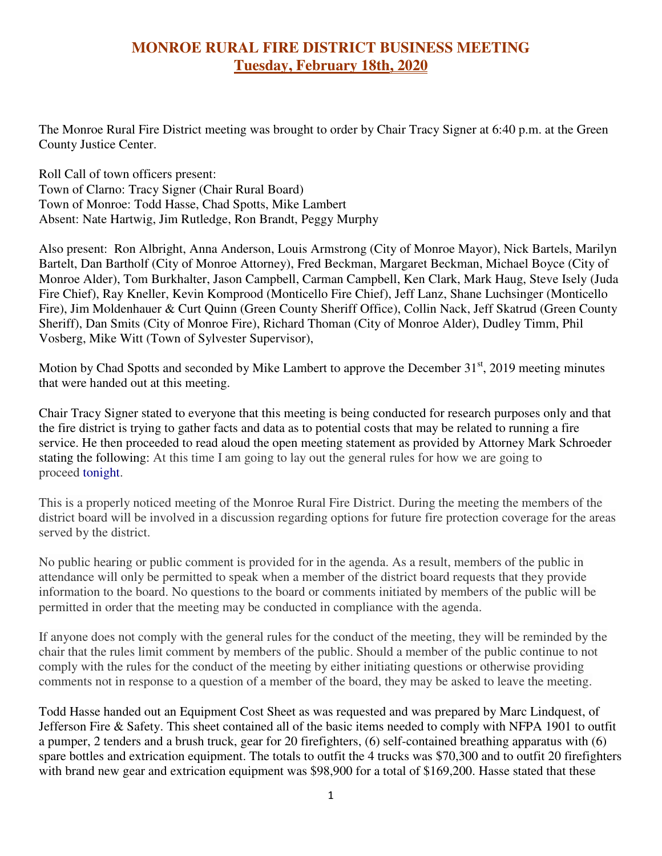## **MONROE RURAL FIRE DISTRICT BUSINESS MEETING Tuesday, February 18th, 2020**

The Monroe Rural Fire District meeting was brought to order by Chair Tracy Signer at 6:40 p.m. at the Green County Justice Center.

Roll Call of town officers present: Town of Clarno: Tracy Signer (Chair Rural Board) Town of Monroe: Todd Hasse, Chad Spotts, Mike Lambert Absent: Nate Hartwig, Jim Rutledge, Ron Brandt, Peggy Murphy

Also present: Ron Albright, Anna Anderson, Louis Armstrong (City of Monroe Mayor), Nick Bartels, Marilyn Bartelt, Dan Bartholf (City of Monroe Attorney), Fred Beckman, Margaret Beckman, Michael Boyce (City of Monroe Alder), Tom Burkhalter, Jason Campbell, Carman Campbell, Ken Clark, Mark Haug, Steve Isely (Juda Fire Chief), Ray Kneller, Kevin Komprood (Monticello Fire Chief), Jeff Lanz, Shane Luchsinger (Monticello Fire), Jim Moldenhauer & Curt Quinn (Green County Sheriff Office), Collin Nack, Jeff Skatrud (Green County Sheriff), Dan Smits (City of Monroe Fire), Richard Thoman (City of Monroe Alder), Dudley Timm, Phil Vosberg, Mike Witt (Town of Sylvester Supervisor),

Motion by Chad Spotts and seconded by Mike Lambert to approve the December  $31<sup>st</sup>$ , 2019 meeting minutes that were handed out at this meeting.

Chair Tracy Signer stated to everyone that this meeting is being conducted for research purposes only and that the fire district is trying to gather facts and data as to potential costs that may be related to running a fire service. He then proceeded to read aloud the open meeting statement as provided by Attorney Mark Schroeder stating the following: At this time I am going to lay out the general rules for how we are going to proceed tonight.

This is a properly noticed meeting of the Monroe Rural Fire District. During the meeting the members of the district board will be involved in a discussion regarding options for future fire protection coverage for the areas served by the district.

No public hearing or public comment is provided for in the agenda. As a result, members of the public in attendance will only be permitted to speak when a member of the district board requests that they provide information to the board. No questions to the board or comments initiated by members of the public will be permitted in order that the meeting may be conducted in compliance with the agenda.

If anyone does not comply with the general rules for the conduct of the meeting, they will be reminded by the chair that the rules limit comment by members of the public. Should a member of the public continue to not comply with the rules for the conduct of the meeting by either initiating questions or otherwise providing comments not in response to a question of a member of the board, they may be asked to leave the meeting.

Todd Hasse handed out an Equipment Cost Sheet as was requested and was prepared by Marc Lindquest, of Jefferson Fire & Safety. This sheet contained all of the basic items needed to comply with NFPA 1901 to outfit a pumper, 2 tenders and a brush truck, gear for 20 firefighters, (6) self-contained breathing apparatus with (6) spare bottles and extrication equipment. The totals to outfit the 4 trucks was \$70,300 and to outfit 20 firefighters with brand new gear and extrication equipment was \$98,900 for a total of \$169,200. Hasse stated that these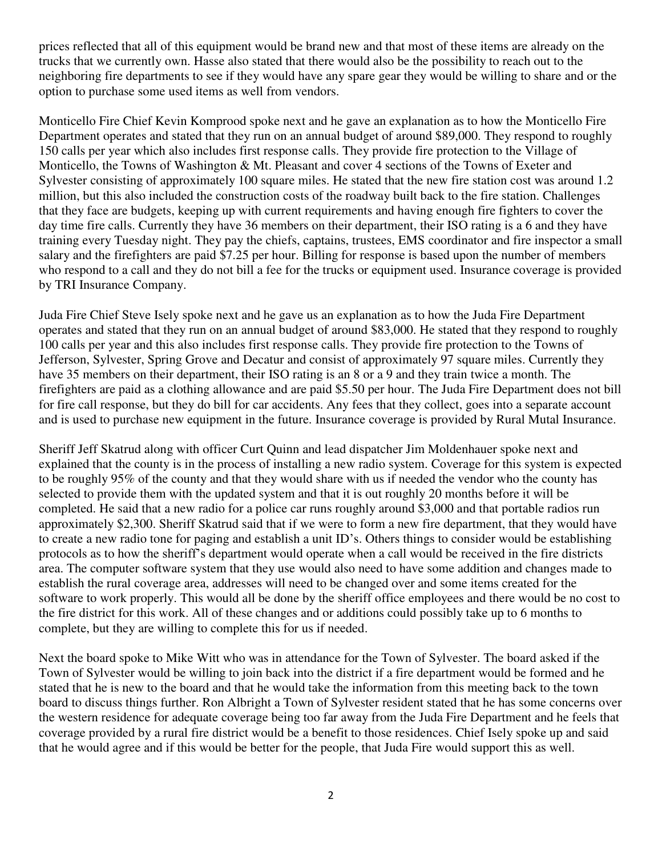prices reflected that all of this equipment would be brand new and that most of these items are already on the trucks that we currently own. Hasse also stated that there would also be the possibility to reach out to the neighboring fire departments to see if they would have any spare gear they would be willing to share and or the option to purchase some used items as well from vendors.

Monticello Fire Chief Kevin Komprood spoke next and he gave an explanation as to how the Monticello Fire Department operates and stated that they run on an annual budget of around \$89,000. They respond to roughly 150 calls per year which also includes first response calls. They provide fire protection to the Village of Monticello, the Towns of Washington & Mt. Pleasant and cover 4 sections of the Towns of Exeter and Sylvester consisting of approximately 100 square miles. He stated that the new fire station cost was around 1.2 million, but this also included the construction costs of the roadway built back to the fire station. Challenges that they face are budgets, keeping up with current requirements and having enough fire fighters to cover the day time fire calls. Currently they have 36 members on their department, their ISO rating is a 6 and they have training every Tuesday night. They pay the chiefs, captains, trustees, EMS coordinator and fire inspector a small salary and the firefighters are paid \$7.25 per hour. Billing for response is based upon the number of members who respond to a call and they do not bill a fee for the trucks or equipment used. Insurance coverage is provided by TRI Insurance Company.

Juda Fire Chief Steve Isely spoke next and he gave us an explanation as to how the Juda Fire Department operates and stated that they run on an annual budget of around \$83,000. He stated that they respond to roughly 100 calls per year and this also includes first response calls. They provide fire protection to the Towns of Jefferson, Sylvester, Spring Grove and Decatur and consist of approximately 97 square miles. Currently they have 35 members on their department, their ISO rating is an 8 or a 9 and they train twice a month. The firefighters are paid as a clothing allowance and are paid \$5.50 per hour. The Juda Fire Department does not bill for fire call response, but they do bill for car accidents. Any fees that they collect, goes into a separate account and is used to purchase new equipment in the future. Insurance coverage is provided by Rural Mutal Insurance.

Sheriff Jeff Skatrud along with officer Curt Quinn and lead dispatcher Jim Moldenhauer spoke next and explained that the county is in the process of installing a new radio system. Coverage for this system is expected to be roughly 95% of the county and that they would share with us if needed the vendor who the county has selected to provide them with the updated system and that it is out roughly 20 months before it will be completed. He said that a new radio for a police car runs roughly around \$3,000 and that portable radios run approximately \$2,300. Sheriff Skatrud said that if we were to form a new fire department, that they would have to create a new radio tone for paging and establish a unit ID's. Others things to consider would be establishing protocols as to how the sheriff's department would operate when a call would be received in the fire districts area. The computer software system that they use would also need to have some addition and changes made to establish the rural coverage area, addresses will need to be changed over and some items created for the software to work properly. This would all be done by the sheriff office employees and there would be no cost to the fire district for this work. All of these changes and or additions could possibly take up to 6 months to complete, but they are willing to complete this for us if needed.

Next the board spoke to Mike Witt who was in attendance for the Town of Sylvester. The board asked if the Town of Sylvester would be willing to join back into the district if a fire department would be formed and he stated that he is new to the board and that he would take the information from this meeting back to the town board to discuss things further. Ron Albright a Town of Sylvester resident stated that he has some concerns over the western residence for adequate coverage being too far away from the Juda Fire Department and he feels that coverage provided by a rural fire district would be a benefit to those residences. Chief Isely spoke up and said that he would agree and if this would be better for the people, that Juda Fire would support this as well.